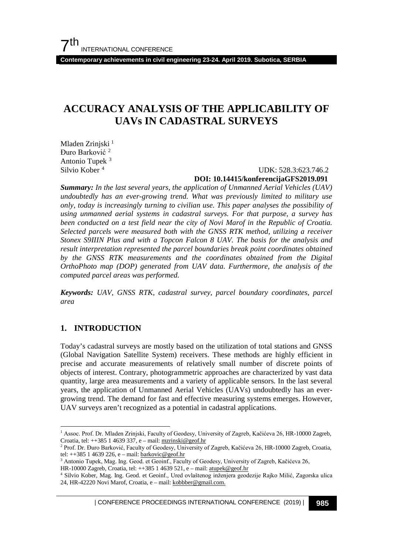**Contemporary achievements in civil engineering 23-24. April 2019. Subotica, SERBIA**

# **ACCURACY ANALYSIS OF THE APPLICABILITY OF UAVs IN CADASTRAL SURVEYS**

Mladen Zrinjski<sup>[1](#page-0-0)</sup> Đuro Barković [2](#page-0-1) Antonio Tupek [3](#page-0-2) Silvio Kober [4](#page-0-3)

#### UDK: 528.3:623.746.2

#### **DOI: 10.14415/konferencijaGFS2019.091**

*Summary: In the last several years, the application of Unmanned Aerial Vehicles (UAV) undoubtedly has an ever-growing trend. What was previously limited to military use only, today is increasingly turning to civilian use. This paper analyses the possibility of using unmanned aerial systems in cadastral surveys. For that purpose, a survey has been conducted on a test field near the city of Novi Marof in the Republic of Croatia. Selected parcels were measured both with the GNSS RTK method, utilizing a receiver Stonex S9IIIN Plus and with a Topcon Falcon 8 UAV. The basis for the analysis and result interpretation represented the parcel boundaries break point coordinates obtained by the GNSS RTK measurements and the coordinates obtained from the Digital OrthoPhoto map (DOP) generated from UAV data. Furthermore, the analysis of the computed parcel areas was performed.*

*Keywords: UAV, GNSS RTK, cadastral survey, parcel boundary coordinates, parcel area*

#### **1. INTRODUCTION**

Today's cadastral surveys are mostly based on the utilization of total stations and GNSS (Global Navigation Satellite System) receivers. These methods are highly efficient in precise and accurate measurements of relatively small number of discrete points of objects of interest. Contrary, photogrammetric approaches are characterized by vast data quantity, large area measurements and a variety of applicable sensors. In the last several years, the application of Unmanned Aerial Vehicles (UAVs) undoubtedly has an evergrowing trend. The demand for fast and effective measuring systems emerges. However, UAV surveys aren't recognized as a potential in cadastral applications.

<span id="page-0-0"></span> <sup>1</sup> Assoc. Prof. Dr. Mladen Zrinjski, Faculty of Geodesy, University of Zagreb, Kačićeva 26, HR-10000 Zagreb, Croatia, tel: ++385 1 4639 337, e – mail[: mzrinski@geof.hr](mailto:mzrinski@geof.hr)

<span id="page-0-1"></span><sup>&</sup>lt;sup>2</sup> Prof. Dr. Đuro Barković, Faculty of Geodesy, University of Zagreb, Kačićeva 26, HR-10000 Zagreb, Croatia, tel:  $++385$  1 4639 226, e – mail[: barkovic@geof.hr](mailto:barkovic@geof.hr)

<span id="page-0-2"></span><sup>&</sup>lt;sup>3</sup> Antonio Tupek, Mag. Ing. Geod. et Geoinf., Faculty of Geodesy, University of Zagreb, Kačićeva 26, HR-10000 Zagreb, Croatia, tel: ++385 1 4639 521, e – mail[: atupek@geof.hr](mailto:atupek@geof.hr)

<span id="page-0-3"></span><sup>4</sup> Silvio Kober, Mag. Ing. Geod. et Geoinf., Ured ovlaštenog inženjera geodezije Rajko Milić, Zagorska ulica 24, HR-42220 Novi Marof, Croatia, e – mail[: kobbber@gmail.com.](mailto:kobbber@gmail.com)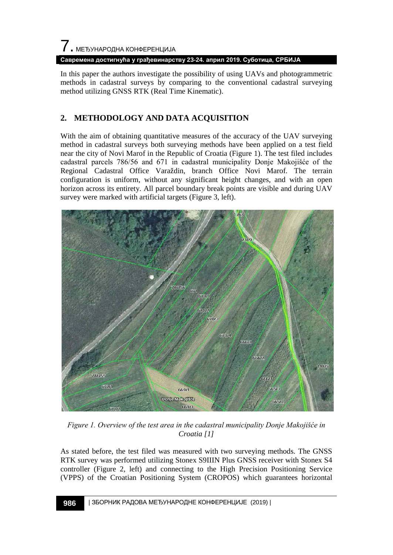7. МЕЂУНАРОДНА КОНФЕРЕНЦИЈА

**Савремена достигнућа у грађевинарству 23-24. април 2019. Суботица, СРБИЈА**

In this paper the authors investigate the possibility of using UAVs and photogrammetric methods in cadastral surveys by comparing to the conventional cadastral surveying method utilizing GNSS RTK (Real Time Kinematic).

## **2. METHODOLOGY AND DATA ACQUISITION**

With the aim of obtaining quantitative measures of the accuracy of the UAV surveying method in cadastral surveys both surveying methods have been applied on a test field near the city of Novi Marof in the Republic of Croatia (Figure 1). The test filed includes cadastral parcels 786/56 and 671 in cadastral municipality Donje Makojišće of the Regional Cadastral Office Varaždin, branch Office Novi Marof. The terrain configuration is uniform, without any significant height changes, and with an open horizon across its entirety. All parcel boundary break points are visible and during UAV survey were marked with artificial targets (Figure 3, left).



*Figure 1. Overview of the test area in the cadastral municipality Donje Makojišće in Croatia [1]*

As stated before, the test filed was measured with two surveying methods. The GNSS RTK survey was performed utilizing Stonex S9IIIN Plus GNSS receiver with Stonex S4 controller (Figure 2, left) and connecting to the High Precision Positioning Service (VPPS) of the Croatian Positioning System (CROPOS) which guarantees horizontal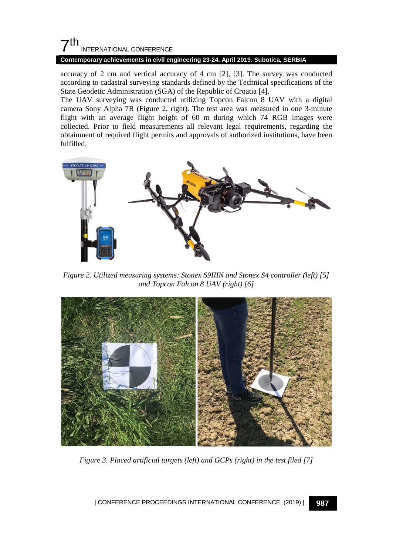## $\mathsf{\Sigma}^{\mathsf{th}}$ INTERNATIONAL CONFERENCE

#### **Contemporary achievements in civil engineering 23-24. April 2019. Subotica, SERBIA**

accuracy of 2 cm and vertical accuracy of 4 cm [2], [3]. The survey was conducted according to cadastral surveying standards defined by the Technical specifications of the State Geodetic Administration (SGA) of the Republic of Croatia [4].

The UAV surveying was conducted utilizing Topcon Falcon 8 UAV with a digital camera Sony Alpha 7R (Figure 2, right). The test area was measured in one 3-minute flight with an average flight height of 60 m during which 74 RGB images were collected. Prior to field measurements all relevant legal requirements, regarding the obtainment of required flight permits and approvals of authorized institutions, have been fulfilled.



*Figure 2. Utilized measuring systems: Stonex S9IIIN and Stonex S4 controller (left) [5] and Topcon Falcon 8 UAV (right) [6]*



*Figure 3. Placed artificial targets (left) and GCPs (right) in the test filed [7]*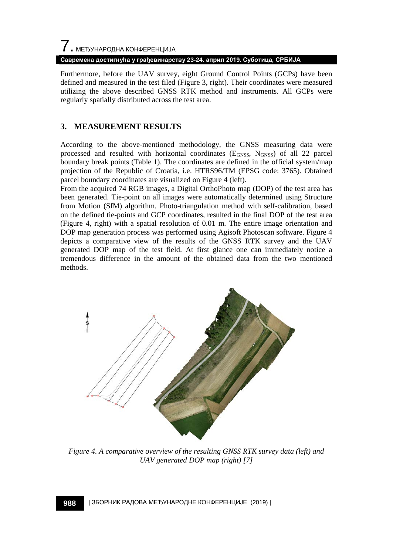**Савремена достигнућа у грађевинарству 23-24. април 2019. Суботица, СРБИЈА**

Furthermore, before the UAV survey, eight Ground Control Points (GCPs) have been defined and measured in the test filed (Figure 3, right). Their coordinates were measured utilizing the above described GNSS RTK method and instruments. All GCPs were regularly spatially distributed across the test area.

## **3. MEASUREMENT RESULTS**

According to the above-mentioned methodology, the GNSS measuring data were processed and resulted with horizontal coordinates ( $E<sub>GNSS</sub>$ ,  $N<sub>GNSS</sub>$ ) of all 22 parcel boundary break points (Table 1). The coordinates are defined in the official system/map projection of the Republic of Croatia, i.e. HTRS96/TM (EPSG code: 3765). Obtained parcel boundary coordinates are visualized on Figure 4 (left).

From the acquired 74 RGB images, a Digital OrthoPhoto map (DOP) of the test area has been generated. Tie-point on all images were automatically determined using Structure from Motion (SfM) algorithm. Photo-triangulation method with self-calibration, based on the defined tie-points and GCP coordinates, resulted in the final DOP of the test area (Figure 4, right) with a spatial resolution of 0.01 m. The entire image orientation and DOP map generation process was performed using Agisoft Photoscan software. Figure 4 depicts a comparative view of the results of the GNSS RTK survey and the UAV generated DOP map of the test field. At first glance one can immediately notice a tremendous difference in the amount of the obtained data from the two mentioned methods.



*Figure 4. A comparative overview of the resulting GNSS RTK survey data (left) and UAV generated DOP map (right) [7]*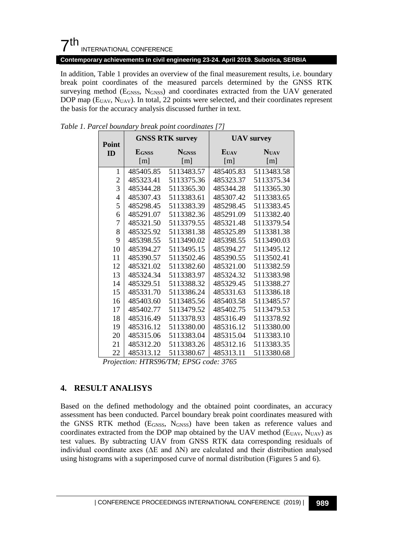## $7<sup>th</sup>$ INTERNATIONAL CONFERENCE

**Contemporary achievements in civil engineering 23-24. April 2019. Subotica, SERBIA**

In addition, Table 1 provides an overview of the final measurement results, i.e. boundary break point coordinates of the measured parcels determined by the GNSS RTK surveying method (E<sub>GNSS</sub>, N<sub>GNSS</sub>) and coordinates extracted from the UAV generated DOP map (E<sub>UAV</sub>, N<sub>UAV</sub>). In total, 22 points were selected, and their coordinates represent the basis for the accuracy analysis discussed further in text.

| Point          |              | <b>GNSS RTK survey</b> | <b>UAV</b> survey |             |  |
|----------------|--------------|------------------------|-------------------|-------------|--|
| ID             | <b>EGNSS</b> | <b>NGNSS</b>           | <b>E</b> UAV      | <b>NUAV</b> |  |
|                | [m]          | [m]                    | [m]               | [m]         |  |
| 1              | 485405.85    | 5113483.57             | 485405.83         | 5113483.58  |  |
| $\overline{c}$ | 485323.41    | 5113375.36             | 485323.37         | 5113375.34  |  |
| 3              | 485344.28    | 5113365.30             | 485344.28         | 5113365.30  |  |
| 4              | 485307.43    | 5113383.61             | 485307.42         | 5113383.65  |  |
| 5              | 485298.45    | 5113383.39             | 485298.45         | 5113383.45  |  |
| 6              | 485291.07    | 5113382.36             | 485291.09         | 5113382.40  |  |
| 7              | 485321.50    | 5113379.55             | 485321.48         | 5113379.54  |  |
| 8              | 485325.92    | 5113381.38             | 485325.89         | 5113381.38  |  |
| 9              | 485398.55    | 5113490.02             | 485398.55         | 5113490.03  |  |
| 10             | 485394.27    | 5113495.15             | 485394.27         | 5113495.12  |  |
| 11             | 485390.57    | 5113502.46             | 485390.55         | 5113502.41  |  |
| 12             | 485321.02    | 5113382.60             | 485321.00         | 5113382.59  |  |
| 13             | 485324.34    | 5113383.97             | 485324.32         | 5113383.98  |  |
| 14             | 485329.51    | 5113388.32             | 485329.45         | 5113388.27  |  |
| 15             | 485331.70    | 5113386.24             | 485331.63         | 5113386.18  |  |
| 16             | 485403.60    | 5113485.56             | 485403.58         | 5113485.57  |  |
| 17             | 485402.77    | 5113479.52             | 485402.75         | 5113479.53  |  |
| 18             | 485316.49    | 5113378.93             | 485316.49         | 5113378.92  |  |
| 19             | 485316.12    | 5113380.00             | 485316.12         | 5113380.00  |  |
| 20             | 485315.06    | 5113383.04             | 485315.04         | 5113383.10  |  |
| 21             | 485312.20    | 5113383.26             | 485312.16         | 5113383.35  |  |
| 22             | 485313.12    | 5113380.67             | 485313.11         | 5113380.68  |  |

*Table 1. Parcel boundary break point coordinates [7]*

*Projection: HTRS96/TM; EPSG code: 3765*

## **4. RESULT ANALISYS**

Based on the defined methodology and the obtained point coordinates, an accuracy assessment has been conducted. Parcel boundary break point coordinates measured with the GNSS RTK method (EGNSS, NGNSS) have been taken as reference values and coordinates extracted from the DOP map obtained by the UAV method ( $E_{UAV}$ ,  $N_{UAV}$ ) as test values. By subtracting UAV from GNSS RTK data corresponding residuals of individual coordinate axes ( $\Delta E$  and  $\Delta N$ ) are calculated and their distribution analysed using histograms with a superimposed curve of normal distribution (Figures 5 and 6).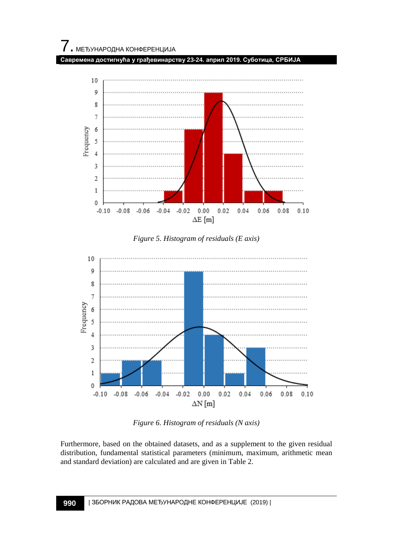







*Figure 6. Histogram of residuals (N axis)*

Furthermore, based on the obtained datasets, and as a supplement to the given residual distribution, fundamental statistical parameters (minimum, maximum, arithmetic mean and standard deviation) are calculated and are given in Table 2.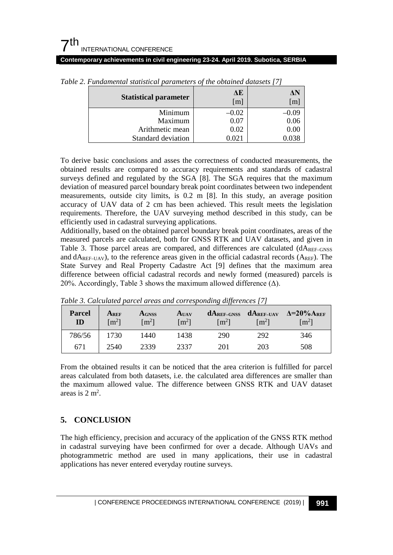## $7<sup>th</sup>$ INTERNATIONAL CONFERENCE

#### **Contemporary achievements in civil engineering 23-24. April 2019. Subotica, SERBIA**

| <b>Statistical parameter</b> | ΔE<br>[m] | $\lceil m \rceil$ |
|------------------------------|-----------|-------------------|
| Minimum                      | $-0.02$   | -0.09             |
| Maximum                      | 0.07      | 0.06              |
| Arithmetic mean              | 0.02      | 0.00              |
| Standard deviation           | .021      |                   |

*Table 2. Fundamental statistical parameters of the obtained datasets [7]*

To derive basic conclusions and asses the correctness of conducted measurements, the obtained results are compared to accuracy requirements and standards of cadastral surveys defined and regulated by the SGA [8]. The SGA requires that the maximum deviation of measured parcel boundary break point coordinates between two independent measurements, outside city limits, is 0.2 m [8]. In this study, an average position accuracy of UAV data of 2 cm has been achieved. This result meets the legislation requirements. Therefore, the UAV surveying method described in this study, can be efficiently used in cadastral surveying applications.

Additionally, based on the obtained parcel boundary break point coordinates, areas of the measured parcels are calculated, both for GNSS RTK and UAV datasets, and given in Table 3. Those parcel areas are compared, and differences are calculated  $(dA_{REF-GNSS})$ and  $dA_{REF-UAV}$ ), to the reference areas given in the official cadastral records ( $A_{REF}$ ). The State Survey and Real Property Cadastre Act [9] defines that the maximum area difference between official cadastral records and newly formed (measured) parcels is 20%. Accordingly, Table 3 shows the maximum allowed difference  $(\Delta)$ .

| <b>Parcel</b><br>ID | Aref<br>$\lceil m^2 \rceil$ | <b>AGNSS</b><br>$\text{Im}^2$ | AUAV<br>$\rm{[m^2]}$ | <b>dAREF-GNSS</b><br>$\lceil m^2 \rceil$ | $dA_{REF-UAV}$<br>$\lceil m^2 \rceil$ | $\Delta = 20\%$ AREF<br>$\lceil m^2 \rceil$ |
|---------------------|-----------------------------|-------------------------------|----------------------|------------------------------------------|---------------------------------------|---------------------------------------------|
| 786/56              | 1730                        | 1440                          | 1438                 | 290                                      | 292                                   | 346                                         |
| 671                 | 2540                        | 2339                          | 2337                 | 201                                      | 203                                   | 508                                         |

*Table 3. Calculated parcel areas and corresponding differences [7]*

From the obtained results it can be noticed that the area criterion is fulfilled for parcel areas calculated from both datasets, i.e. the calculated area differences are smaller than the maximum allowed value. The difference between GNSS RTK and UAV dataset areas is  $2 \text{ m}^2$ .

## **5. CONCLUSION**

The high efficiency, precision and accuracy of the application of the GNSS RTK method in cadastral surveying have been confirmed for over a decade. Although UAVs and photogrammetric method are used in many applications, their use in cadastral applications has never entered everyday routine surveys.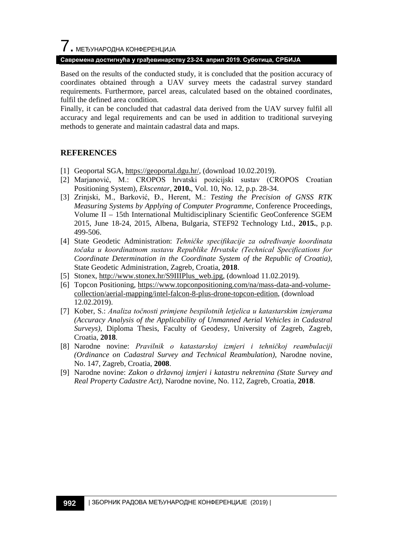# $\overline{\phantom{a}}$ . МЕЂУНАРОДНА КОНФЕРЕНЦИЈА

#### **Савремена достигнућа у грађевинарству 23-24. април 2019. Суботица, СРБИЈА**

Based on the results of the conducted study, it is concluded that the position accuracy of coordinates obtained through a UAV survey meets the cadastral survey standard requirements. Furthermore, parcel areas, calculated based on the obtained coordinates, fulfil the defined area condition.

Finally, it can be concluded that cadastral data derived from the UAV survey fulfil all accuracy and legal requirements and can be used in addition to traditional surveying methods to generate and maintain cadastral data and maps.

#### **REFERENCES**

- [1] Geoportal SGA, [https://geoportal.dgu.hr/,](https://geoportal.dgu.hr/) (download 10.02.2019).
- [2] Marjanović, M.: CROPOS hrvatski pozicijski sustav (CROPOS Croatian Positioning System), *Ekscentar*, **2010.**, Vol. 10, No. 12, p.p. 28-34.
- [3] Zrinjski, M., Barković, Đ., Herent, M.: *Testing the Precision of GNSS RTK Measuring Systems by Applying of Computer Programme*, Conference Proceedings, Volume II – 15th International Multidisciplinary Scientific GeoConference SGEM 2015, June 18-24, 2015, Albena, Bulgaria, STEF92 Technology Ltd., **2015.**, p.p. 499-506.
- [4] State Geodetic Administration: *Tehničke specifikacije za određivanje koordinata točaka u koordinatnom sustavu Republike Hrvatske (Technical Specifications for Coordinate Determination in the Coordinate System of the Republic of Croatia)*, State Geodetic Administration, Zagreb, Croatia, **2018**.
- [5] Stonex, [http://www.stonex.hr/S9IIIPlus\\_web.jpg,](http://www.stonex.hr/S9IIIPlus_web.jpg) (download 11.02.2019).
- [6] Topcon Positioning, [https://www.topconpositioning.com/na/mass-data-and-volume](https://www.topconpositioning.com/na/mass-data-and-volume-collection/aerial-mapping/intel-falcon-8-plus-drone-topcon-edition)[collection/aerial-mapping/intel-falcon-8-plus-drone-topcon-edition,](https://www.topconpositioning.com/na/mass-data-and-volume-collection/aerial-mapping/intel-falcon-8-plus-drone-topcon-edition) (download 12.02.2019).
- [7] Kober, S.: *Analiza točnosti primjene bespilotnih letjelica u katastarskim izmjerama (Accuracy Analysis of the Applicability of Unmanned Aerial Vehicles in Cadastral Surveys)*, Diploma Thesis, Faculty of Geodesy, University of Zagreb, Zagreb, Croatia, **2018**.
- [8] Narodne novine: *Pravilnik o katastarskoj izmjeri i tehničkoj reambulaciji (Ordinance on Cadastral Survey and Technical Reambulation)*, Narodne novine, No. 147, Zagreb, Croatia, **2008**.
- [9] Narodne novine: *Zakon o državnoj izmjeri i katastru nekretnina (State Survey and Real Property Cadastre Act)*, Narodne novine, No. 112, Zagreb, Croatia, **2018**.